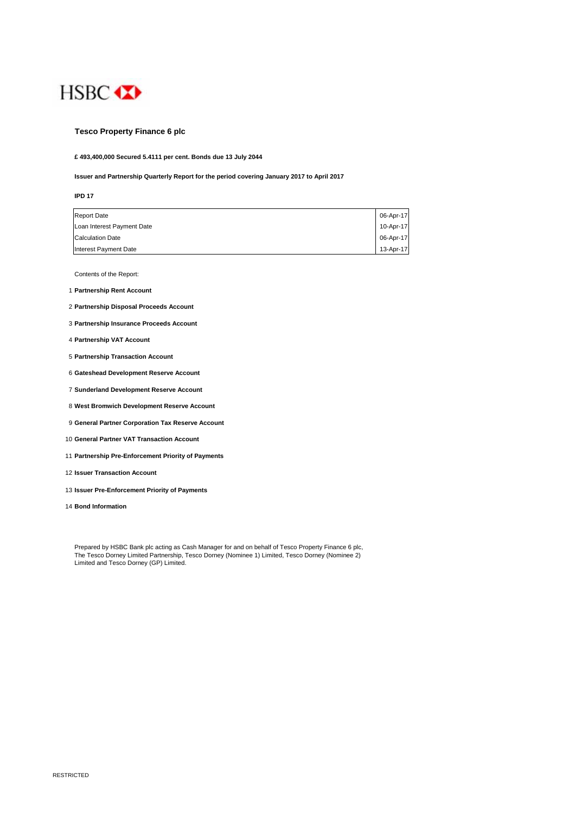

#### **Tesco Property Finance 6 plc**

**£ 493,400,000 Secured 5.4111 per cent. Bonds due 13 July 2044**

#### **Issuer and Partnership Quarterly Report for the period covering January 2017 to April 2017**

| I |  |
|---|--|
|   |  |

| <b>Report Date</b>         | 06-Apr-17 |
|----------------------------|-----------|
| Loan Interest Payment Date | 10-Apr-17 |
| <b>Calculation Date</b>    | 06-Apr-17 |
| Interest Payment Date      | 13-Apr-17 |

Contents of the Report:

- 1 **Partnership Rent Account**
- 2 **Partnership Disposal Proceeds Account**
- 3 **Partnership Insurance Proceeds Account**
- 4 **Partnership VAT Account**
- 5 **Partnership Transaction Account**
- 6 **Gateshead Development Reserve Account**
- 7 **Sunderland Development Reserve Account**
- 8 **West Bromwich Development Reserve Account**
- 9 **General Partner Corporation Tax Reserve Account**
- 10 **General Partner VAT Transaction Account**
- 11 **Partnership Pre-Enforcement Priority of Payments**
- 12 **Issuer Transaction Account**
- 13 **Issuer Pre-Enforcement Priority of Payments**
- 14 **Bond Information**

Prepared by HSBC Bank plc acting as Cash Manager for and on behalf of Tesco Property Finance 6 plc, The Tesco Dorney Limited Partnership, Tesco Dorney (Nominee 1) Limited, Tesco Dorney (Nominee 2) Limited and Tesco Dorney (GP) Limited.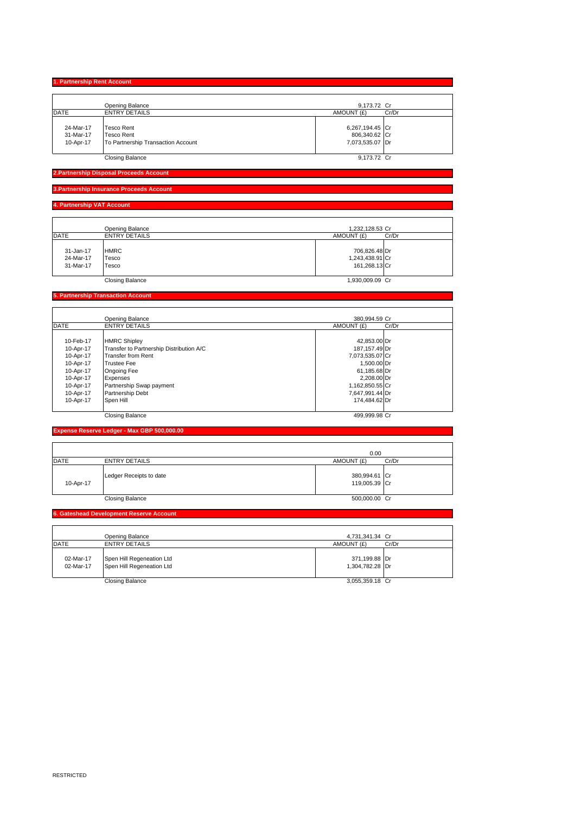|             | Opening Balance                    | 9,173.72 Cr     |       |
|-------------|------------------------------------|-----------------|-------|
| <b>DATE</b> | <b>ENTRY DETAILS</b>               | AMOUNT (£)      | Cr/Dr |
|             |                                    |                 |       |
| 24-Mar-17   | <b>Tesco Rent</b>                  | 6,267,194.45 Cr |       |
| 31-Mar-17   | <b>Tesco Rent</b>                  | 806,340.62 Cr   |       |
| 10-Apr-17   | To Partnership Transaction Account | 7,073,535.07 Dr |       |
|             |                                    |                 |       |
|             | <b>Closing Balance</b>             | 9,173.72 Cr     |       |

**2.Partnership Disposal Proceeds Ac** 

#### **3.Partnership Insurance Proceeds Account**

**4. Partnership VAT Account** 

|                                     | Opening Balance               | 1,232,128.53 Cr                                   |
|-------------------------------------|-------------------------------|---------------------------------------------------|
| <b>DATE</b>                         | <b>ENTRY DETAILS</b>          | AMOUNT (£)<br>Cr/Dr                               |
| 31-Jan-17<br>24-Mar-17<br>31-Mar-17 | <b>HMRC</b><br>Tesco<br>Tesco | 706,826.48 Dr<br>1,243,438.91 Cr<br>161.268.13 Cr |
|                                     | <b>Closing Balance</b>        | 1,930,009.09 Cr                                   |

#### **5. Partnership Transaction Account**

| <b>DATE</b> |                                          |                 | 380.994.59 Cr |
|-------------|------------------------------------------|-----------------|---------------|
|             | <b>ENTRY DETAILS</b>                     | AMOUNT (£)      | Cr/Dr         |
|             |                                          |                 |               |
| 10-Feb-17   | <b>HMRC Shipley</b>                      | 42,853.00 Dr    |               |
| 10-Apr-17   | Transfer to Partnership Distribution A/C | 187,157.49 Dr   |               |
| 10-Apr-17   | Transfer from Rent                       | 7,073,535.07 Cr |               |
| 10-Apr-17   | <b>Trustee Fee</b>                       | 1,500.00 Dr     |               |
| 10-Apr-17   | <b>Ongoing Fee</b>                       | 61,185.68 Dr    |               |
| 10-Apr-17   | Expenses                                 | 2,208.00 Dr     |               |
| 10-Apr-17   | Partnership Swap payment                 | 1,162,850.55 Cr |               |
| 10-Apr-17   | Partnership Debt                         | 7,647,991.44 Dr |               |
| 10-Apr-17   | Spen Hill                                | 174.484.62 Dr   |               |
|             | <b>Closing Balance</b>                   | 499.999.98 Cr   |               |

#### **Expense Reserve Ledger - Max GBP 500,000.00**

|             |                         | 0.00                           |       |
|-------------|-------------------------|--------------------------------|-------|
| <b>DATE</b> | <b>ENTRY DETAILS</b>    | AMOUNT (£)                     | Cr/Dr |
| 10-Apr-17   | Ledger Receipts to date | 380,994.61 Cr<br>119,005.39 Cr |       |
|             | <b>Closing Balance</b>  | 500,000.00 Cr                  |       |

#### **6. Gateshead Development Reserve Account**

|                        | Opening Balance                                        | 4,731,341.34 Cr                  |       |
|------------------------|--------------------------------------------------------|----------------------------------|-------|
| DATE                   | <b>ENTRY DETAILS</b>                                   | AMOUNT (£)                       | Cr/Dr |
| 02-Mar-17<br>02-Mar-17 | Spen Hill Regeneation Ltd<br>Spen Hill Regeneation Ltd | 371,199.88 Dr<br>1,304,782.28 Dr |       |
|                        | <b>Closing Balance</b>                                 | 3,055,359.18 Cr                  |       |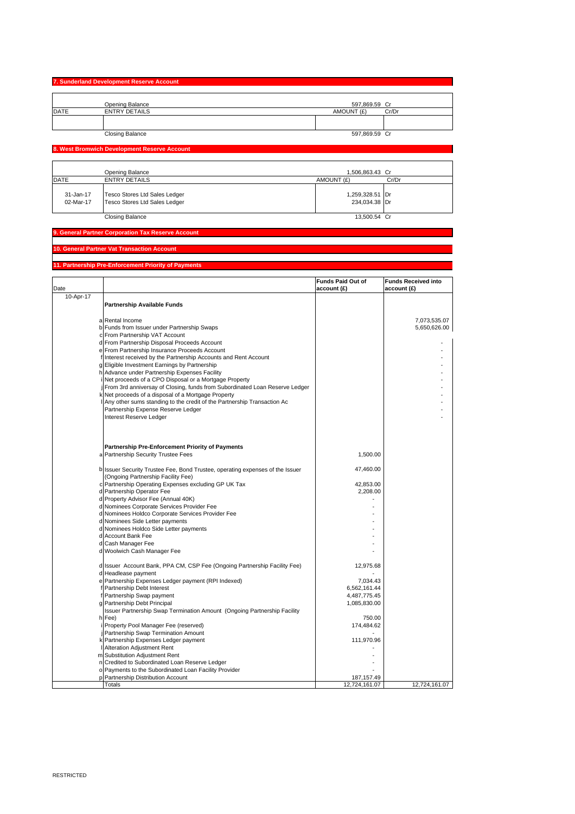# **7. Sunderland Development Reserve Account** Opening Balance Cr 597,869.59 DATE ENTRY DETAILS AMOUNT (£) Cr/Dr <u>I</u><br>Closing Balance 597,869.59 Cr 597,869.59 Cr 597,869.59 Cr 597,869.59 Cr 597,869.59 Cr 597,869.59 Cr 597,869.59 Cr

|  | ວອາ.ooອ.ວອ |  |
|--|------------|--|
|  |            |  |

#### **8. West Bromwich Development Reserve Account**

|                        | Opening Balance                                                | 1.506.863.43 Cr                  |       |
|------------------------|----------------------------------------------------------------|----------------------------------|-------|
| <b>DATE</b>            | <b>ENTRY DETAILS</b>                                           | AMOUNT (£)                       | Cr/Dr |
| 31-Jan-17<br>02-Mar-17 | Tesco Stores Ltd Sales Ledger<br>Tesco Stores Ltd Sales Ledger | 1,259,328.51 Dr<br>234.034.38 Dr |       |
|                        | Closing Balance                                                | 13.500.54 Cr                     |       |

### **9. General Partner Corporation Tax Reserve Account**

## **10. General Partner Vat Transaction Account**

#### **11. Partnership Pre-Enforcement Priority of Payments**

| Date      |                                                                                   | Funds Paid Out of<br>account (£) | <b>Funds Received into</b><br>account (£) |
|-----------|-----------------------------------------------------------------------------------|----------------------------------|-------------------------------------------|
| 10-Apr-17 |                                                                                   |                                  |                                           |
|           | <b>Partnership Available Funds</b>                                                |                                  |                                           |
|           |                                                                                   |                                  |                                           |
|           | a Rental Income                                                                   |                                  | 7,073,535.07                              |
|           | b Funds from Issuer under Partnership Swaps                                       |                                  | 5,650,626.00                              |
|           | c From Partnership VAT Account                                                    |                                  |                                           |
|           | d From Partnership Disposal Proceeds Account                                      |                                  |                                           |
|           | e From Partnership Insurance Proceeds Account                                     |                                  |                                           |
|           | f Interest received by the Partnership Accounts and Rent Account                  |                                  |                                           |
|           | g Eligible Investment Earnings by Partnership                                     |                                  |                                           |
|           | h Advance under Partnership Expenses Facility                                     |                                  |                                           |
|           | Net proceeds of a CPO Disposal or a Mortgage Property                             |                                  |                                           |
|           | j From 3rd anniversay of Closing, funds from Subordinated Loan Reserve Ledger     |                                  |                                           |
|           | k Net proceeds of a disposal of a Mortgage Property                               |                                  |                                           |
|           | I Any other sums standing to the credit of the Partnership Transaction Ac         |                                  |                                           |
|           | Partnership Expense Reserve Ledger                                                |                                  |                                           |
|           | Interest Reserve Ledger                                                           |                                  |                                           |
|           |                                                                                   |                                  |                                           |
|           |                                                                                   |                                  |                                           |
|           |                                                                                   |                                  |                                           |
|           | Partnership Pre-Enforcement Priority of Payments                                  |                                  |                                           |
|           | a Partnership Security Trustee Fees                                               | 1,500.00                         |                                           |
|           |                                                                                   |                                  |                                           |
|           | b Issuer Security Trustee Fee, Bond Trustee, operating expenses of the Issuer     | 47,460.00                        |                                           |
|           | (Ongoing Partnership Facility Fee)                                                |                                  |                                           |
|           | c Partnership Operating Expenses excluding GP UK Tax                              | 42,853.00                        |                                           |
|           | d Partnership Operator Fee                                                        | 2,208.00                         |                                           |
|           | d Property Advisor Fee (Annual 40K)<br>d Nominees Corporate Services Provider Fee |                                  |                                           |
|           | d Nominees Holdco Corporate Services Provider Fee                                 |                                  |                                           |
|           | d Nominees Side Letter payments                                                   |                                  |                                           |
|           | d Nominees Holdco Side Letter payments                                            |                                  |                                           |
|           | d Account Bank Fee                                                                |                                  |                                           |
|           | d Cash Manager Fee                                                                |                                  |                                           |
|           | d Woolwich Cash Manager Fee                                                       |                                  |                                           |
|           |                                                                                   |                                  |                                           |
|           | d Issuer Account Bank, PPA CM, CSP Fee (Ongoing Partnership Facility Fee)         | 12,975.68                        |                                           |
|           | d Headlease payment                                                               |                                  |                                           |
|           | e Partnership Expenses Ledger payment (RPI Indexed)                               | 7,034.43                         |                                           |
|           | f Partnership Debt Interest                                                       | 6,562,161.44                     |                                           |
|           | f Partnership Swap payment                                                        | 4,487,775.45                     |                                           |
|           | g Partnership Debt Principal                                                      | 1,085,830.00                     |                                           |
|           | Issuer Partnership Swap Termination Amount (Ongoing Partnership Facility          |                                  |                                           |
|           | h Fee)                                                                            | 750.00                           |                                           |
|           | Property Pool Manager Fee (reserved)                                              | 174,484.62                       |                                           |
|           | j Partnership Swap Termination Amount                                             |                                  |                                           |
|           | k Partnership Expenses Ledger payment                                             | 111,970.96                       |                                           |
|           | Alteration Adjustment Rent                                                        |                                  |                                           |
|           | m Substitution Adjustment Rent                                                    |                                  |                                           |
|           | n Credited to Subordinated Loan Reserve Ledger                                    |                                  |                                           |
|           | o Payments to the Subordinated Loan Facility Provider                             |                                  |                                           |
|           | p Partnership Distribution Account                                                | 187, 157.49                      |                                           |
|           | <b>Totals</b>                                                                     | 12,724,161.07                    | 12,724,161.07                             |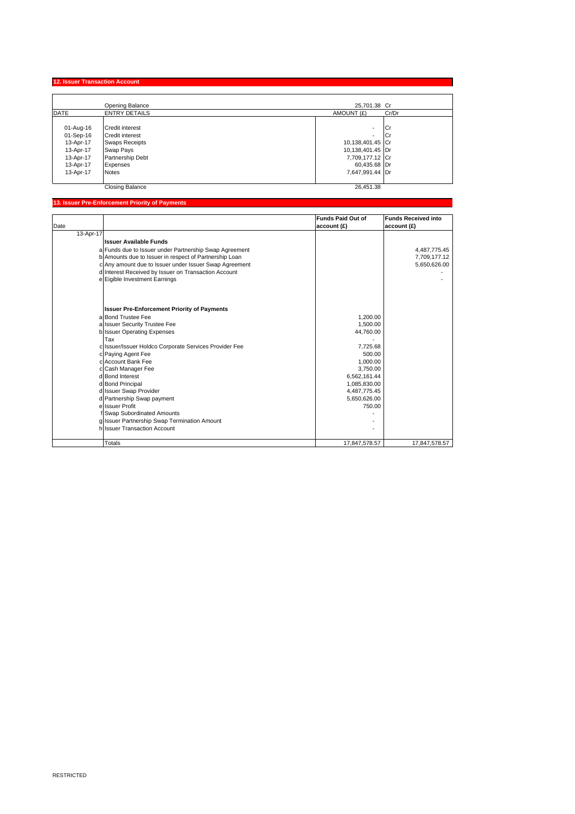**12. Issuer Transaction Account** 

|             | Opening Balance        | 25,701.38 Cr        |  |
|-------------|------------------------|---------------------|--|
| <b>DATE</b> | <b>ENTRY DETAILS</b>   | AMOUNT (£)<br>Cr/Dr |  |
|             |                        |                     |  |
| 01-Aug-16   | Credit interest        | <b>ICr</b><br>٠     |  |
| 01-Sep-16   | <b>Credit interest</b> | ICr<br>٠            |  |
| 13-Apr-17   | <b>Swaps Receipts</b>  | 10,138,401.45 Cr    |  |
| 13-Apr-17   | Swap Pays              | 10,138,401.45 Dr    |  |
| 13-Apr-17   | Partnership Debt       | 7,709,177.12 Cr     |  |
| 13-Apr-17   | Expenses               | 60,435.68 Dr        |  |
| 13-Apr-17   | <b>Notes</b>           | 7,647,991.44 Dr     |  |
|             | <b>Closing Balance</b> | 26,451.38           |  |

# **13. Issuer Pre-Enforcement Priority of Payments**

|           |                                                        | <b>Funds Paid Out of</b> | <b>Funds Received into</b> |
|-----------|--------------------------------------------------------|--------------------------|----------------------------|
| Date      |                                                        | account (£)              | account (£)                |
| 13-Apr-17 |                                                        |                          |                            |
|           | <b>Issuer Available Funds</b>                          |                          |                            |
|           | a Funds due to Issuer under Partnership Swap Agreement |                          | 4,487,775.45               |
|           | b Amounts due to Issuer in respect of Partnership Loan |                          | 7,709,177.12               |
|           | c Any amount due to Issuer under Issuer Swap Agreement |                          | 5,650,626.00               |
|           | d Interest Received by Issuer on Transaction Account   |                          |                            |
|           | e Eigible Investment Earnings                          |                          |                            |
|           |                                                        |                          |                            |
|           |                                                        |                          |                            |
|           | <b>Issuer Pre-Enforcement Priority of Payments</b>     |                          |                            |
|           | a Bond Trustee Fee                                     | 1,200.00                 |                            |
|           | a Issuer Security Trustee Fee                          | 1,500.00                 |                            |
|           | b Issuer Operating Expenses                            | 44,760.00                |                            |
|           | Tax                                                    |                          |                            |
|           | c Issuer/Issuer Holdco Corporate Services Provider Fee | 7,725.68                 |                            |
|           | c Paying Agent Fee                                     | 500.00                   |                            |
|           | c Account Bank Fee                                     | 1,000.00                 |                            |
|           | c Cash Manager Fee                                     | 3,750.00                 |                            |
|           | d Bond Interest                                        | 6,562,161.44             |                            |
|           | d Bond Principal                                       | 1,085,830.00             |                            |
|           | d Issuer Swap Provider                                 | 4,487,775.45             |                            |
|           | d Partnership Swap payment                             | 5,650,626.00             |                            |
|           | e Issuer Profit                                        | 750.00                   |                            |
|           | f Swap Subordinated Amounts                            |                          |                            |
|           | g Issuer Partnership Swap Termination Amount           |                          |                            |
|           | h Issuer Transaction Account                           |                          |                            |
|           | Totals                                                 | 17,847,578.57            | 17,847,578.57              |